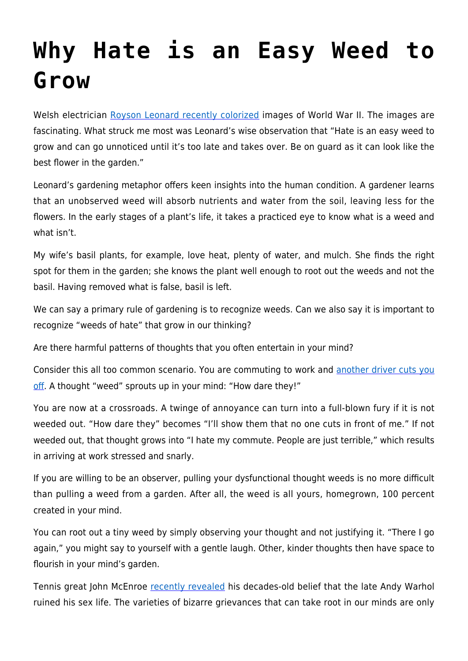## **[Why Hate is an Easy Weed to](https://intellectualtakeout.org/2017/06/why-hate-is-an-easy-weed-to-grow/) [Grow](https://intellectualtakeout.org/2017/06/why-hate-is-an-easy-weed-to-grow/)**

Welsh electrician [Royson Leonard recently colorized](http://www.dailymail.co.uk/news/article-4617328/Incredible-colourised-photos-German-army.html) images of World War II. The images are fascinating. What struck me most was Leonard's wise observation that "Hate is an easy weed to grow and can go unnoticed until it's too late and takes over. Be on guard as it can look like the best flower in the garden."

Leonard's gardening metaphor offers keen insights into the human condition. A gardener learns that an unobserved weed will absorb nutrients and water from the soil, leaving less for the flowers. In the early stages of a plant's life, it takes a practiced eye to know what is a weed and what isn't.

My wife's basil plants, for example, love heat, plenty of water, and mulch. She finds the right spot for them in the garden; she knows the plant well enough to root out the weeds and not the basil. Having removed what is false, basil is left.

We can say a primary rule of gardening is to recognize weeds. Can we also say it is important to recognize "weeds of hate" that grow in our thinking?

Are there harmful patterns of thoughts that you often entertain in your mind?

Consider this all too common scenario. You are commuting to work and [another driver cuts you](https://www.intellectualtakeout.org/article/why-you-shouldnt-rage-against-last-second-mergers) [off](https://www.intellectualtakeout.org/article/why-you-shouldnt-rage-against-last-second-mergers). A thought "weed" sprouts up in your mind: "How dare they!"

You are now at a crossroads. A twinge of annoyance can turn into a full-blown fury if it is not weeded out. "How dare they" becomes "I'll show them that no one cuts in front of me." If not weeded out, that thought grows into "I hate my commute. People are just terrible," which results in arriving at work stressed and snarly.

If you are willing to be an observer, pulling your dysfunctional thought weeds is no more difficult than pulling a weed from a garden. After all, the weed is all yours, homegrown, 100 percent created in your mind.

You can root out a tiny weed by simply observing your thought and not justifying it. "There I go again," you might say to yourself with a gentle laugh. Other, kinder thoughts then have space to flourish in your mind's garden.

Tennis great John McEnroe [recently revealed](http://pagesix.com/2017/06/23/john-mcenroe-andy-warhol-ruined-my-sex-life/) his decades-old belief that the late Andy Warhol ruined his sex life. The varieties of bizarre grievances that can take root in our minds are only